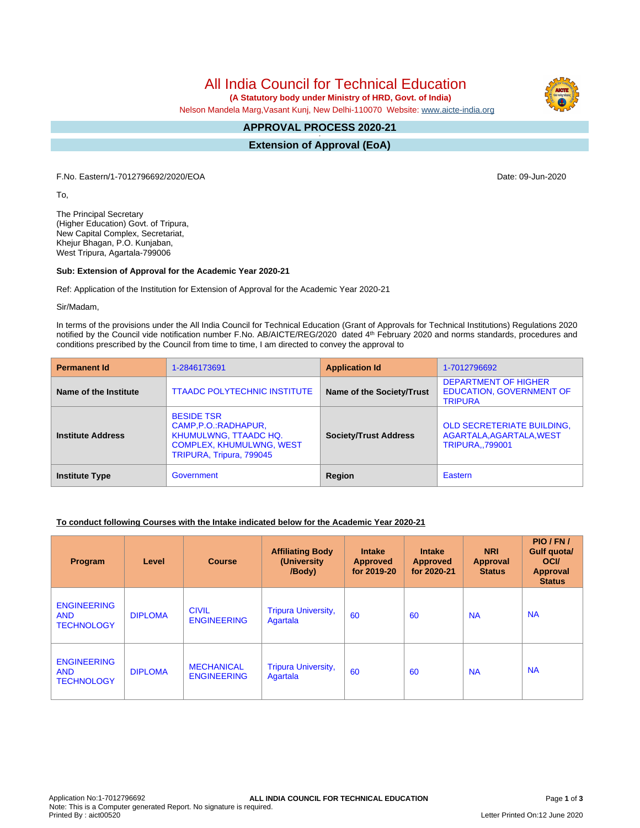# All India Council for Technical Education

 **(A Statutory body under Ministry of HRD, Govt. of India)**

Nelson Mandela Marg,Vasant Kunj, New Delhi-110070 Website: [www.aicte-india.org](http://www.aicte-india.org)

#### **APPROVAL PROCESS 2020-21 -**

**Extension of Approval (EoA)**

F.No. Eastern/1-7012796692/2020/EOA Date: 09-Jun-2020

To,

The Principal Secretary (Higher Education) Govt. of Tripura, New Capital Complex, Secretariat, Khejur Bhagan, P.O. Kunjaban, West Tripura, Agartala-799006

#### **Sub: Extension of Approval for the Academic Year 2020-21**

Ref: Application of the Institution for Extension of Approval for the Academic Year 2020-21

Sir/Madam,

In terms of the provisions under the All India Council for Technical Education (Grant of Approvals for Technical Institutions) Regulations 2020 notified by the Council vide notification number F.No. AB/AICTE/REG/2020 dated 4<sup>th</sup> February 2020 and norms standards, procedures and conditions prescribed by the Council from time to time, I am directed to convey the approval to

| <b>Permanent Id</b>      | 1-2846173691                                                                                                                              | <b>Application Id</b>        | 1-7012796692                                                                             |  |
|--------------------------|-------------------------------------------------------------------------------------------------------------------------------------------|------------------------------|------------------------------------------------------------------------------------------|--|
| Name of the Institute    | <b>TTAADC POLYTECHNIC INSTITUTE</b>                                                                                                       | Name of the Society/Trust    | <b>DEPARTMENT OF HIGHER</b><br><b>EDUCATION, GOVERNMENT OF</b><br><b>TRIPURA</b>         |  |
| <b>Institute Address</b> | <b>BESIDE TSR</b><br>CAMP, P.O.: RADHAPUR,<br><b>KHUMULWNG, TTAADC HQ.</b><br><b>COMPLEX, KHUMULWNG, WEST</b><br>TRIPURA, Tripura, 799045 | <b>Society/Trust Address</b> | <b>OLD SECRETERIATE BUILDING,</b><br>AGARTALA, AGARTALA, WEST<br><b>TRIPURA., 799001</b> |  |
| <b>Institute Type</b>    | Government                                                                                                                                | <b>Region</b>                | Eastern                                                                                  |  |

#### **To conduct following Courses with the Intake indicated below for the Academic Year 2020-21**

| <b>Program</b>                                        | Level          | <b>Course</b>                           | <b>Affiliating Body</b><br>(University)<br>/Body) | <b>Intake</b><br><b>Approved</b><br>for 2019-20 | <b>Intake</b><br><b>Approved</b><br>for 2020-21 | <b>NRI</b><br><b>Approval</b><br><b>Status</b> | PIO/FN/<br>Gulf quota/<br><b>OCI</b><br>Approval<br><b>Status</b> |
|-------------------------------------------------------|----------------|-----------------------------------------|---------------------------------------------------|-------------------------------------------------|-------------------------------------------------|------------------------------------------------|-------------------------------------------------------------------|
| <b>ENGINEERING</b><br><b>AND</b><br><b>TECHNOLOGY</b> | <b>DIPLOMA</b> | <b>CIVIL</b><br><b>ENGINEERING</b>      | <b>Tripura University,</b><br>Agartala            | 60                                              | 60                                              | <b>NA</b>                                      | <b>NA</b>                                                         |
| <b>ENGINEERING</b><br><b>AND</b><br><b>TECHNOLOGY</b> | <b>DIPLOMA</b> | <b>MECHANICAL</b><br><b>ENGINEERING</b> | <b>Tripura University,</b><br>Agartala            | 60                                              | 60                                              | <b>NA</b>                                      | <b>NA</b>                                                         |

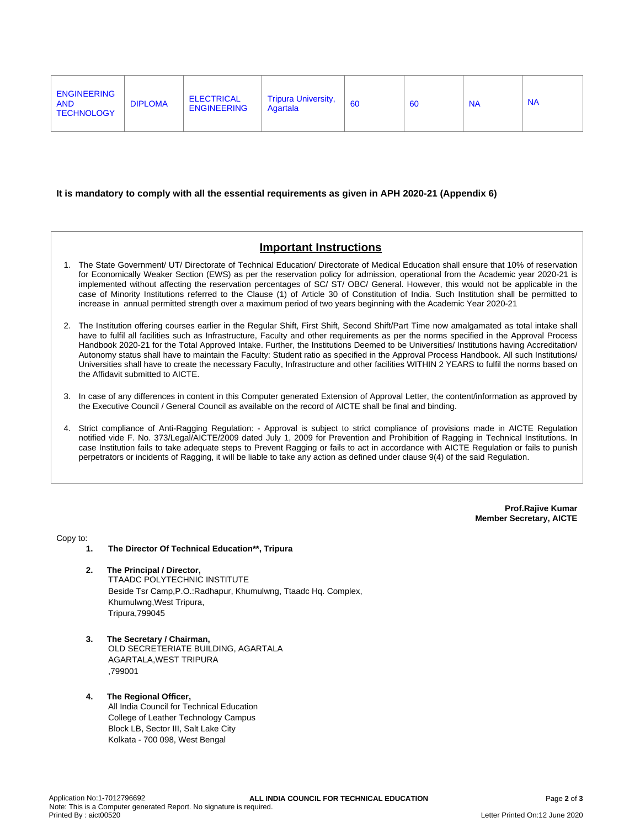| <b>ENGINEERING</b><br><b>ELECTRICAL</b><br><b>Tripura University,</b><br><b>NA</b><br>60<br><b>DIPLOMA</b><br><b>NA</b><br><b>AND</b><br>60<br><b>ENGINEERING</b><br>Agartala<br><b>TECHNOLOGY</b> |
|----------------------------------------------------------------------------------------------------------------------------------------------------------------------------------------------------|
|----------------------------------------------------------------------------------------------------------------------------------------------------------------------------------------------------|

#### **It is mandatory to comply with all the essential requirements as given in APH 2020-21 (Appendix 6)**

## **Important Instructions**

- 1. The State Government/ UT/ Directorate of Technical Education/ Directorate of Medical Education shall ensure that 10% of reservation for Economically Weaker Section (EWS) as per the reservation policy for admission, operational from the Academic year 2020-21 is implemented without affecting the reservation percentages of SC/ ST/ OBC/ General. However, this would not be applicable in the case of Minority Institutions referred to the Clause (1) of Article 30 of Constitution of India. Such Institution shall be permitted to increase in annual permitted strength over a maximum period of two years beginning with the Academic Year 2020-21
- 2. The Institution offering courses earlier in the Regular Shift, First Shift, Second Shift/Part Time now amalgamated as total intake shall have to fulfil all facilities such as Infrastructure, Faculty and other requirements as per the norms specified in the Approval Process Handbook 2020-21 for the Total Approved Intake. Further, the Institutions Deemed to be Universities/ Institutions having Accreditation/ Autonomy status shall have to maintain the Faculty: Student ratio as specified in the Approval Process Handbook. All such Institutions/ Universities shall have to create the necessary Faculty, Infrastructure and other facilities WITHIN 2 YEARS to fulfil the norms based on the Affidavit submitted to AICTE.
- 3. In case of any differences in content in this Computer generated Extension of Approval Letter, the content/information as approved by the Executive Council / General Council as available on the record of AICTE shall be final and binding.
- 4. Strict compliance of Anti-Ragging Regulation: Approval is subject to strict compliance of provisions made in AICTE Regulation notified vide F. No. 373/Legal/AICTE/2009 dated July 1, 2009 for Prevention and Prohibition of Ragging in Technical Institutions. In case Institution fails to take adequate steps to Prevent Ragging or fails to act in accordance with AICTE Regulation or fails to punish perpetrators or incidents of Ragging, it will be liable to take any action as defined under clause 9(4) of the said Regulation.

**Prof.Rajive Kumar Member Secretary, AICTE**

Copy to:

- **1. The Director Of Technical Education\*\*, Tripura**
- **2. The Principal / Director,** TTAADC POLYTECHNIC INSTITUTE Beside Tsr Camp,P.O.:Radhapur, Khumulwng, Ttaadc Hq. Complex, Khumulwng,West Tripura, Tripura,799045
- **3. The Secretary / Chairman,** OLD SECRETERIATE BUILDING, AGARTALA AGARTALA,WEST TRIPURA ,799001
- **4. The Regional Officer,** All India Council for Technical Education College of Leather Technology Campus Block LB, Sector III, Salt Lake City Kolkata - 700 098, West Bengal